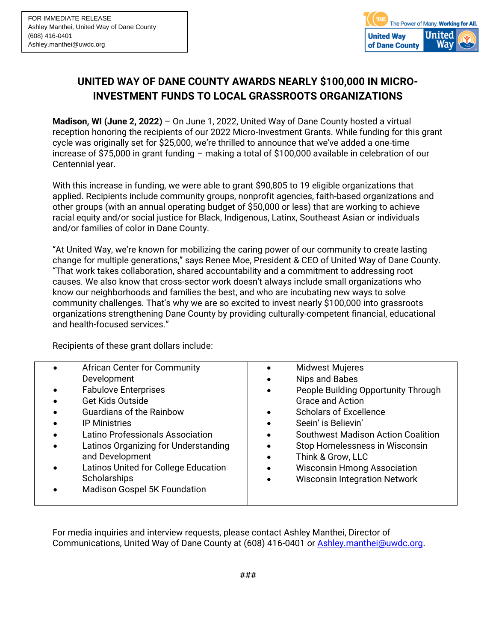

## **UNITED WAY OF DANE COUNTY AWARDS NEARLY \$100,000 IN MICRO-INVESTMENT FUNDS TO LOCAL GRASSROOTS ORGANIZATIONS**

**Madison, WI (June 2, 2022)** – On June 1, 2022, United Way of Dane County hosted a virtual reception honoring the recipients of our 2022 Micro-Investment Grants. While funding for this grant cycle was originally set for \$25,000, we're thrilled to announce that we've added a one-time increase of \$75,000 in grant funding – making a total of \$100,000 available in celebration of our Centennial year.

With this increase in funding, we were able to grant \$90,805 to 19 eligible organizations that applied. Recipients include community groups, nonprofit agencies, faith-based organizations and other groups (with an annual operating budget of \$50,000 or less) that are working to achieve racial equity and/or social justice for Black, Indigenous, Latinx, Southeast Asian or individuals and/or families of color in Dane County.

"At United Way, we're known for mobilizing the caring power of our community to create lasting change for multiple generations," says Renee Moe, President & CEO of United Way of Dane County. "That work takes collaboration, shared accountability and a commitment to addressing root causes. We also know that cross-sector work doesn't always include small organizations who know our neighborhoods and families the best, and who are incubating new ways to solve community challenges. That's why we are so excited to invest nearly \$100,000 into grassroots organizations strengthening Dane County by providing culturally-competent financial, educational and health-focused services."

Recipients of these grant dollars include:

| <b>African Center for Community</b>  |           | <b>Midwest Mujeres</b>                    |
|--------------------------------------|-----------|-------------------------------------------|
| Development                          |           | Nips and Babes                            |
| <b>Fabulove Enterprises</b>          |           | People Building Opportunity Through       |
| <b>Get Kids Outside</b>              |           | <b>Grace and Action</b>                   |
| <b>Guardians of the Rainbow</b>      |           | <b>Scholars of Excellence</b>             |
| <b>IP Ministries</b>                 | $\bullet$ | Seein' is Believin'                       |
| Latino Professionals Association     |           | <b>Southwest Madison Action Coalition</b> |
| Latinos Organizing for Understanding |           | Stop Homelessness in Wisconsin            |
| and Development                      |           | Think & Grow, LLC                         |
| Latinos United for College Education |           | <b>Wisconsin Hmong Association</b>        |
| Scholarships                         |           | <b>Wisconsin Integration Network</b>      |
| <b>Madison Gospel 5K Foundation</b>  |           |                                           |
|                                      |           |                                           |

For media inquiries and interview requests, please contact Ashley Manthei, Director of Communications, United Way of Dane County at (608) 416-0401 or **Ashley.manthei@uwdc.org.**